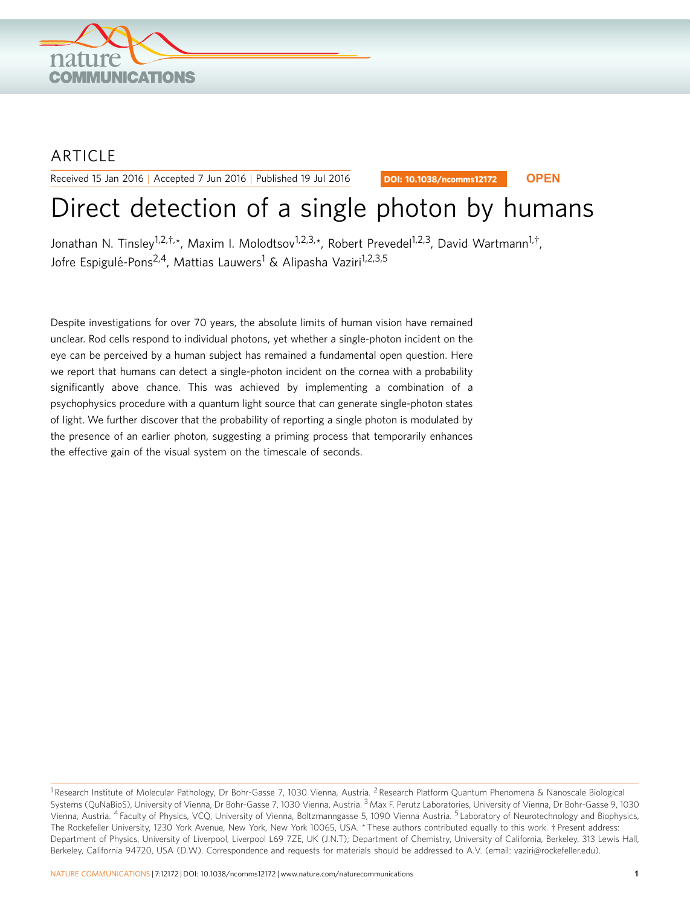

# ARTICLE

Received 15 Jan 2016 | Accepted 7 Jun 2016 | Published 19 Jul 2016

DOI: 10.1038/ncomms12172 **OPEN**

# Direct detection of a single photon by humans

Jonathan N. Tinsley<sup>1,2,†,</sup>\*, Maxim I. Molodtsov<sup>1,2,3,</sup>\*, Robert Prevedel<sup>1,2,3</sup>, David Wartmann<sup>1,†</sup>, Jofre Espigulé-Pons<sup>2,4</sup>, Mattias Lauwers<sup>1</sup> & Alipasha Vaziri<sup>1,2,3,5</sup>

Despite investigations for over 70 years, the absolute limits of human vision have remained unclear. Rod cells respond to individual photons, yet whether a single-photon incident on the eye can be perceived by a human subject has remained a fundamental open question. Here we report that humans can detect a single-photon incident on the cornea with a probability significantly above chance. This was achieved by implementing a combination of a psychophysics procedure with a quantum light source that can generate single-photon states of light. We further discover that the probability of reporting a single photon is modulated by the presence of an earlier photon, suggesting a priming process that temporarily enhances the effective gain of the visual system on the timescale of seconds.

<sup>&</sup>lt;sup>1</sup> Research Institute of Molecular Pathology, Dr Bohr-Gasse 7, 1030 Vienna, Austria. <sup>2</sup> Research Platform Quantum Phenomena & Nanoscale Biological Systems (QuNaBioS), University of Vienna, Dr Bohr-Gasse 7, 1030 Vienna, Austria. <sup>3</sup> Max F. Perutz Laboratories, University of Vienna, Dr Bohr-Gasse 9, 1030 Vienna, Austria. <sup>4</sup> Faculty of Physics, VCQ, University of Vienna, Boltzmanngasse 5, 1090 Vienna Austria. <sup>5</sup> Laboratory of Neurotechnology and Biophysics, The Rockefeller University, 1230 York Avenue, New York, New York 10065, USA. \* These authors contributed equally to this work. † Present address: Department of Physics, University of Liverpool, Liverpool L69 7ZE, UK (J.N.T); Department of Chemistry, University of California, Berkeley, 313 Lewis Hall, Berkeley, California 94720, USA (D.W). Correspondence and requests for materials should be addressed to A.V. (email: [vaziri@rockefeller.edu\)](mailto:vaziri@rockefeller.edu).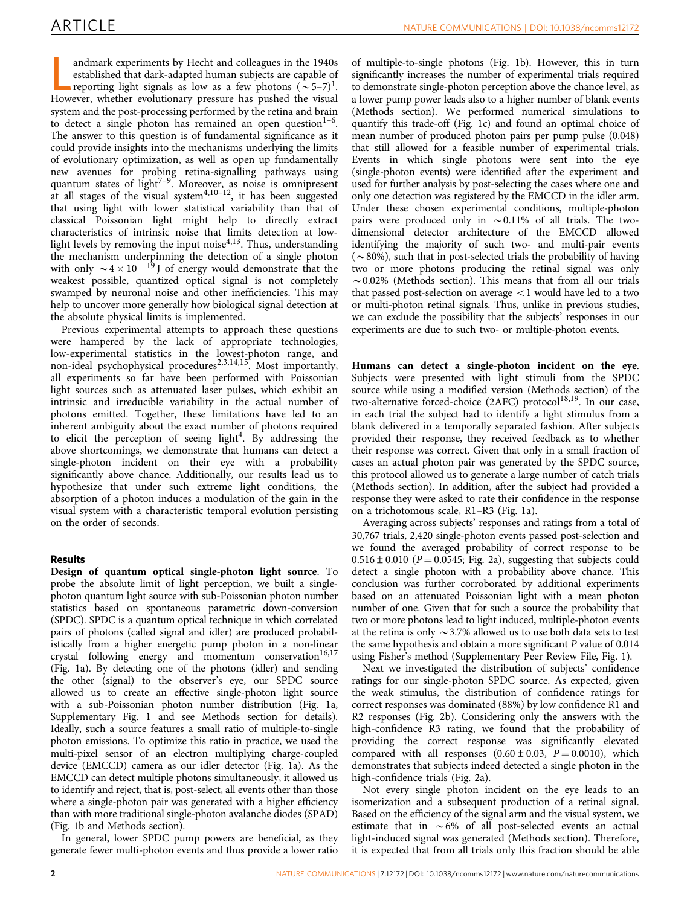andmark experiments by Hecht and colleagues in the 1940s established that dark-adapted human subjects are capable of reporting light signals as low as a few photons  $({\sim}5-7)^1$ .<br>However, whether evolutionary pressure has andmark experiments by Hecht and colleagues in the 1940s established that dark-adapted human subjects are capable of reporting light signals as low as a few photons  $({\sim}5-7)^1$ . system and the post-processing performed by the retina and brain to detect a single photon has remained an open question<sup>1-6</sup>. The answer to this question is of fundamental significance as it could provide insights into the mechanisms underlying the limits of evolutionary optimization, as well as open up fundamentally new avenues for probing retina-signalling pathways using quantum states of light<sup>7-9</sup>. Moreover, as noise is omnipresent at all stages of the visual system $4,10-12$ , it has been suggested that using light with lower statistical variability than that of classical Poissonian light might help to directly extract characteristics of intrinsic noise that limits detection at lowlight levels by removing the input noise<sup>4,13</sup>. Thus, understanding the mechanism underpinning the detection of a single photon with only  $\sim 4 \times 10^{-19}$  J of energy would demonstrate that the weakest possible, quantized optical signal is not completely swamped by neuronal noise and other inefficiencies. This may help to uncover more generally how biological signal detection at the absolute physical limits is implemented.

Previous experimental attempts to approach these questions were hampered by the lack of appropriate technologies, low-experimental statistics in the lowest-photon range, and non-ideal psychophysical procedures<sup>[2,3,14,15](#page-7-0)</sup>. Most importantly, all experiments so far have been performed with Poissonian light sources such as attenuated laser pulses, which exhibit an intrinsic and irreducible variability in the actual number of photons emitted. Together, these limitations have led to an inherent ambiguity about the exact number of photons required to elicit the perception of seeing light<sup>[4](#page-7-0)</sup>. By addressing the above shortcomings, we demonstrate that humans can detect a single-photon incident on their eye with a probability significantly above chance. Additionally, our results lead us to hypothesize that under such extreme light conditions, the absorption of a photon induces a modulation of the gain in the visual system with a characteristic temporal evolution persisting on the order of seconds.

# Results

Design of quantum optical single-photon light source. To probe the absolute limit of light perception, we built a singlephoton quantum light source with sub-Poissonian photon number statistics based on spontaneous parametric down-conversion (SPDC). SPDC is a quantum optical technique in which correlated pairs of photons (called signal and idler) are produced probabilistically from a higher energetic pump photon in a non-linear crystal following energy and momentum conservation<sup>[16,17](#page-7-0)</sup> ([Fig. 1a](#page-2-0)). By detecting one of the photons (idler) and sending the other (signal) to the observer's eye, our SPDC source allowed us to create an effective single-photon light source with a sub-Poissonian photon number distribution [\(Fig. 1a,](#page-2-0) Supplementary Fig. 1 and see Methods section for details). Ideally, such a source features a small ratio of multiple-to-single photon emissions. To optimize this ratio in practice, we used the multi-pixel sensor of an electron multiplying charge-coupled device (EMCCD) camera as our idler detector ([Fig. 1a\)](#page-2-0). As the EMCCD can detect multiple photons simultaneously, it allowed us to identify and reject, that is, post-select, all events other than those where a single-photon pair was generated with a higher efficiency than with more traditional single-photon avalanche diodes (SPAD) ([Fig. 1b](#page-2-0) and Methods section).

In general, lower SPDC pump powers are beneficial, as they generate fewer multi-photon events and thus provide a lower ratio

of multiple-to-single photons ([Fig. 1b](#page-2-0)). However, this in turn significantly increases the number of experimental trials required to demonstrate single-photon perception above the chance level, as a lower pump power leads also to a higher number of blank events (Methods section). We performed numerical simulations to quantify this trade-off ([Fig. 1c](#page-2-0)) and found an optimal choice of mean number of produced photon pairs per pump pulse (0.048) that still allowed for a feasible number of experimental trials. Events in which single photons were sent into the eye (single-photon events) were identified after the experiment and used for further analysis by post-selecting the cases where one and only one detection was registered by the EMCCD in the idler arm. Under these chosen experimental conditions, multiple-photon pairs were produced only in  $\sim 0.11\%$  of all trials. The twodimensional detector architecture of the EMCCD allowed identifying the majority of such two- and multi-pair events  $(\sim 80\%)$ , such that in post-selected trials the probability of having two or more photons producing the retinal signal was only  $\sim$  0.02% (Methods section). This means that from all our trials that passed post-selection on average  $\langle 1 \rangle$  would have led to a two or multi-photon retinal signals. Thus, unlike in previous studies, we can exclude the possibility that the subjects' responses in our experiments are due to such two- or multiple-photon events.

Humans can detect a single-photon incident on the eye. Subjects were presented with light stimuli from the SPDC source while using a modified version (Methods section) of the two-alternative forced-choice  $(2AFC)$  protocol<sup>18,19</sup>. In our case, in each trial the subject had to identify a light stimulus from a blank delivered in a temporally separated fashion. After subjects provided their response, they received feedback as to whether their response was correct. Given that only in a small fraction of cases an actual photon pair was generated by the SPDC source, this protocol allowed us to generate a large number of catch trials (Methods section). In addition, after the subject had provided a response they were asked to rate their confidence in the response on a trichotomous scale, R1–R3 ([Fig. 1a\)](#page-2-0).

Averaging across subjects' responses and ratings from a total of 30,767 trials, 2,420 single-photon events passed post-selection and we found the averaged probability of correct response to be  $0.516 \pm 0.010$  (P = 0.0545; [Fig. 2a\)](#page-3-0), suggesting that subjects could detect a single photon with a probability above chance. This conclusion was further corroborated by additional experiments based on an attenuated Poissonian light with a mean photon number of one. Given that for such a source the probability that two or more photons lead to light induced, multiple-photon events at the retina is only  $\sim$  3.7% allowed us to use both data sets to test the same hypothesis and obtain a more significant P value of 0.014 using Fisher's method (Supplementary Peer Review File, [Fig. 1\)](#page-2-0).

Next we investigated the distribution of subjects' confidence ratings for our single-photon SPDC source. As expected, given the weak stimulus, the distribution of confidence ratings for correct responses was dominated (88%) by low confidence R1 and R2 responses ([Fig. 2b\)](#page-3-0). Considering only the answers with the high-confidence R3 rating, we found that the probability of providing the correct response was significantly elevated compared with all responses  $(0.60 \pm 0.03, P = 0.0010)$ , which demonstrates that subjects indeed detected a single photon in the high-confidence trials ([Fig. 2a](#page-3-0)).

Not every single photon incident on the eye leads to an isomerization and a subsequent production of a retinal signal. Based on the efficiency of the signal arm and the visual system, we estimate that in  $\sim$  6% of all post-selected events an actual light-induced signal was generated (Methods section). Therefore, it is expected that from all trials only this fraction should be able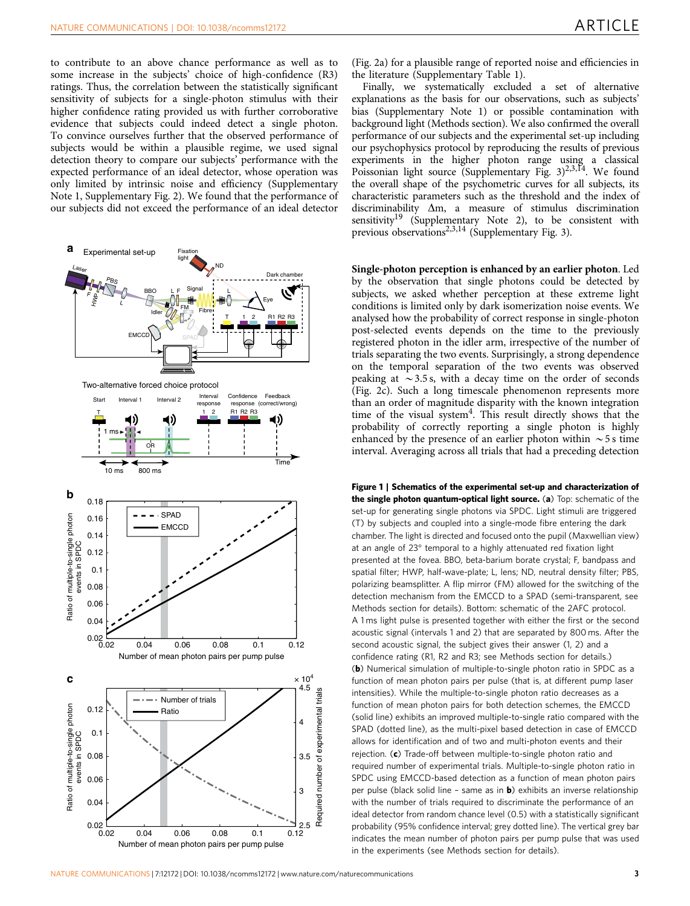<span id="page-2-0"></span>to contribute to an above chance performance as well as to some increase in the subjects' choice of high-confidence (R3) ratings. Thus, the correlation between the statistically significant sensitivity of subjects for a single-photon stimulus with their higher confidence rating provided us with further corroborative evidence that subjects could indeed detect a single photon. To convince ourselves further that the observed performance of subjects would be within a plausible regime, we used signal detection theory to compare our subjects' performance with the expected performance of an ideal detector, whose operation was only limited by intrinsic noise and efficiency (Supplementary Note 1, Supplementary Fig. 2). We found that the performance of our subjects did not exceed the performance of an ideal detector



Finally, we systematically excluded a set of alternative explanations as the basis for our observations, such as subjects' bias (Supplementary Note 1) or possible contamination with background light (Methods section). We also confirmed the overall performance of our subjects and the experimental set-up including our psychophysics protocol by reproducing the results of previous experiments in the higher photon range using a classical Poissonian light source (Supplementary Fig. 3)<sup>2,3,14</sup>. We found the overall shape of the psychometric curves for all subjects, its characteristic parameters such as the threshold and the index of discriminability  $\Delta m$ , a measure of stimulus discrimination sensitivity<sup>19</sup> (Supplementary Note 2), to be consistent with previous observations<sup>[2,3,14](#page-7-0)</sup> (Supplementary Fig. 3).

Single-photon perception is enhanced by an earlier photon. Led by the observation that single photons could be detected by subjects, we asked whether perception at these extreme light conditions is limited only by dark isomerization noise events. We analysed how the probability of correct response in single-photon post-selected events depends on the time to the previously registered photon in the idler arm, irrespective of the number of trials separating the two events. Surprisingly, a strong dependence on the temporal separation of the two events was observed peaking at  $\sim$  3.5 s, with a decay time on the order of seconds ([Fig. 2c](#page-3-0)). Such a long timescale phenomenon represents more than an order of magnitude disparity with the known integration time of the visual system<sup>[4](#page-7-0)</sup>. This result directly shows that the probability of correctly reporting a single photon is highly enhanced by the presence of an earlier photon within  $\sim$  5 s time interval. Averaging across all trials that had a preceding detection

Figure 1 | Schematics of the experimental set-up and characterization of the single photon quantum-optical light source. (a) Top: schematic of the set-up for generating single photons via SPDC. Light stimuli are triggered (T) by subjects and coupled into a single-mode fibre entering the dark chamber. The light is directed and focused onto the pupil (Maxwellian view) at an angle of 23° temporal to a highly attenuated red fixation light presented at the fovea. BBO, beta-barium borate crystal; F, bandpass and spatial filter; HWP, half-wave-plate; L, lens; ND, neutral density filter; PBS, polarizing beamsplitter. A flip mirror (FM) allowed for the switching of the detection mechanism from the EMCCD to a SPAD (semi-transparent, see Methods section for details). Bottom: schematic of the 2AFC protocol. A 1 ms light pulse is presented together with either the first or the second acoustic signal (intervals 1 and 2) that are separated by 800 ms. After the second acoustic signal, the subject gives their answer (1, 2) and a confidence rating (R1, R2 and R3; see Methods section for details.) (b) Numerical simulation of multiple-to-single photon ratio in SPDC as a function of mean photon pairs per pulse (that is, at different pump laser intensities). While the multiple-to-single photon ratio decreases as a function of mean photon pairs for both detection schemes, the EMCCD (solid line) exhibits an improved multiple-to-single ratio compared with the SPAD (dotted line), as the multi-pixel based detection in case of EMCCD allows for identification and of two and multi-photon events and their rejection. (c) Trade-off between multiple-to-single photon ratio and required number of experimental trials. Multiple-to-single photon ratio in SPDC using EMCCD-based detection as a function of mean photon pairs per pulse (black solid line - same as in **b**) exhibits an inverse relationship with the number of trials required to discriminate the performance of an ideal detector from random chance level (0.5) with a statistically significant probability (95% confidence interval; grey dotted line). The vertical grey bar indicates the mean number of photon pairs per pump pulse that was used in the experiments (see Methods section for details).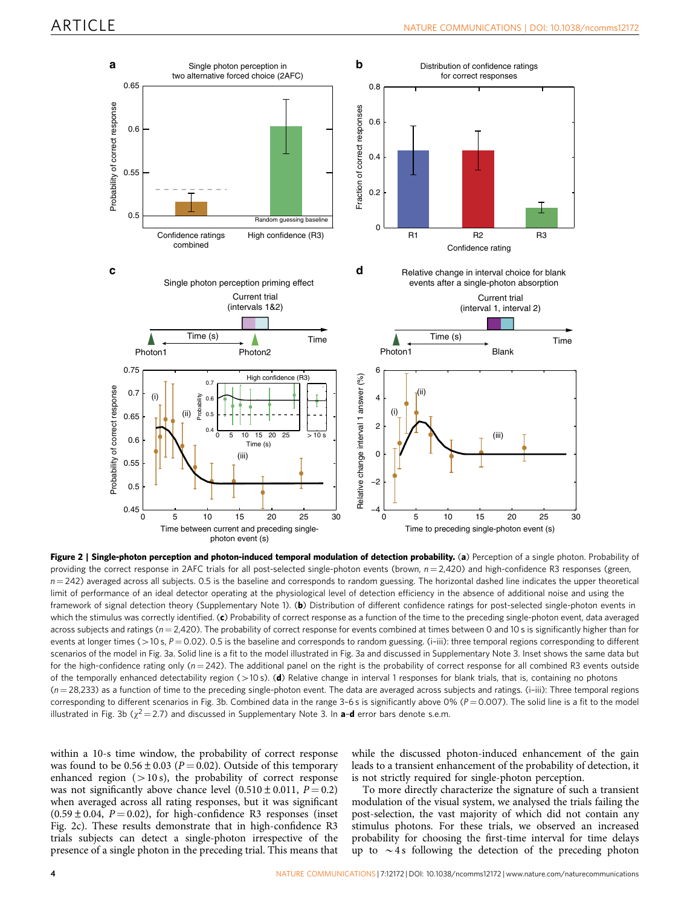<span id="page-3-0"></span>

Figure 2 | Single-photon perception and photon-induced temporal modulation of detection probability. (a) Perception of a single photon. Probability of providing the correct response in 2AFC trials for all post-selected single-photon events (brown,  $n = 2,420$ ) and high-confidence R3 responses (green,  $n = 242$ ) averaged across all subjects. 0.5 is the baseline and corresponds to random guessing. The horizontal dashed line indicates the upper theoretical limit of performance of an ideal detector operating at the physiological level of detection efficiency in the absence of additional noise and using the framework of signal detection theory (Supplementary Note 1). (b) Distribution of different confidence ratings for post-selected single-photon events in which the stimulus was correctly identified. (c) Probability of correct response as a function of the time to the preceding single-photon event, data averaged across subjects and ratings ( $n = 2,420$ ). The probability of correct response for events combined at times between 0 and 10 s is significantly higher than for events at longer times ( $>$ 10 s, P = 0.02). 0.5 is the baseline and corresponds to random guessing. (i-iii): three temporal regions corresponding to different scenarios of the model in [Fig. 3a.](#page-4-0) Solid line is a fit to the model illustrated in [Fig. 3a](#page-4-0) and discussed in Supplementary Note 3. Inset shows the same data but for the high-confidence rating only ( $n = 242$ ). The additional panel on the right is the probability of correct response for all combined R3 events outside of the temporally enhanced detectability region (>10 s). (d) Relative change in interval 1 responses for blank trials, that is, containing no photons  $(n = 28,233)$  as a function of time to the preceding single-photon event. The data are averaged across subjects and ratings. (i-iii): Three temporal regions corresponding to different scenarios in [Fig. 3b.](#page-4-0) Combined data in the range  $3-6$  s is significantly above  $0\%$  ( $P = 0.007$ ). The solid line is a fit to the model illustrated in [Fig. 3b](#page-4-0) ( $\chi^2$  = 2.7) and discussed in Supplementary Note 3. In **a-d** error bars denote s.e.m.

within a 10-s time window, the probability of correct response was found to be  $0.56 \pm 0.03$  (P = 0.02). Outside of this temporary enhanced region  $(>10 s)$ , the probability of correct response was not significantly above chance level  $(0.510 \pm 0.011, P = 0.2)$ when averaged across all rating responses, but it was significant  $(0.59 \pm 0.04, P = 0.02)$ , for high-confidence R3 responses (inset Fig. 2c). These results demonstrate that in high-confidence R3 trials subjects can detect a single-photon irrespective of the presence of a single photon in the preceding trial. This means that

while the discussed photon-induced enhancement of the gain leads to a transient enhancement of the probability of detection, it is not strictly required for single-photon perception.

To more directly characterize the signature of such a transient modulation of the visual system, we analysed the trials failing the post-selection, the vast majority of which did not contain any stimulus photons. For these trials, we observed an increased probability for choosing the first-time interval for time delays up to  $\sim$ 4s following the detection of the preceding photon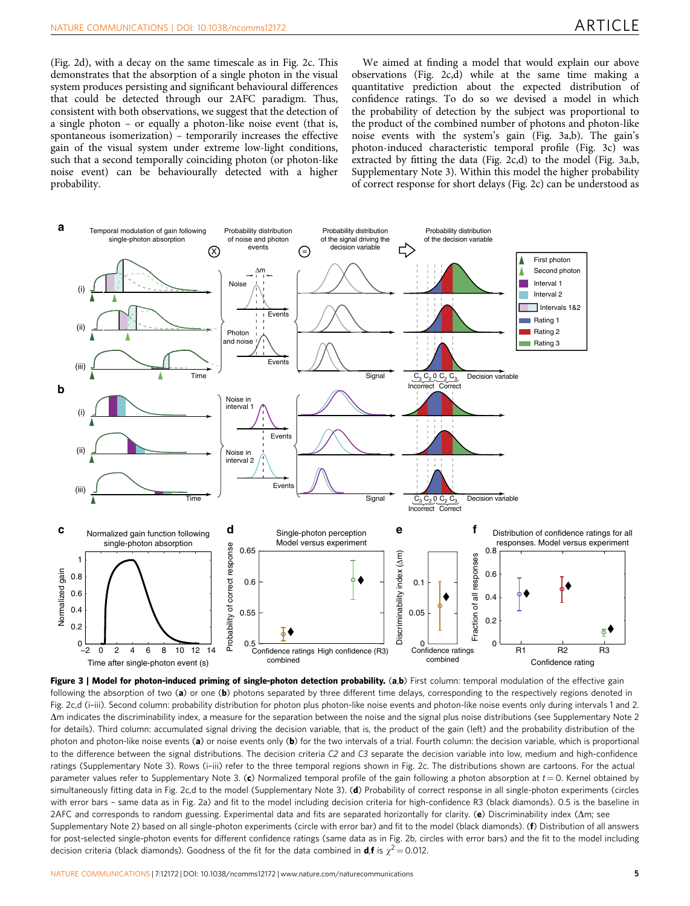<span id="page-4-0"></span>([Fig. 2d](#page-3-0)), with a decay on the same timescale as in [Fig. 2c.](#page-3-0) This demonstrates that the absorption of a single photon in the visual system produces persisting and significant behavioural differences that could be detected through our 2AFC paradigm. Thus, consistent with both observations, we suggest that the detection of a single photon – or equally a photon-like noise event (that is, spontaneous isomerization) – temporarily increases the effective gain of the visual system under extreme low-light conditions, such that a second temporally coinciding photon (or photon-like noise event) can be behaviourally detected with a higher probability.

We aimed at finding a model that would explain our above observations ([Fig. 2c,d](#page-3-0)) while at the same time making a quantitative prediction about the expected distribution of confidence ratings. To do so we devised a model in which the probability of detection by the subject was proportional to the product of the combined number of photons and photon-like noise events with the system's gain (Fig. 3a,b). The gain's photon-induced characteristic temporal profile (Fig. 3c) was extracted by fitting the data [\(Fig. 2c,d](#page-3-0)) to the model (Fig. 3a,b, Supplementary Note 3). Within this model the higher probability of correct response for short delays ([Fig. 2c](#page-3-0)) can be understood as



Figure 3 | Model for photon-induced priming of single-photon detection probability. (a,b) First column: temporal modulation of the effective gain following the absorption of two (a) or one (b) photons separated by three different time delays, corresponding to the respectively regions denoted in [Fig. 2c,d](#page-3-0) (i-iii). Second column: probability distribution for photon plus photon-like noise events and photon-like noise events only during intervals 1 and 2. Dm indicates the discriminability index, a measure for the separation between the noise and the signal plus noise distributions (see Supplementary Note 2 for details). Third column: accumulated signal driving the decision variable, that is, the product of the gain (left) and the probability distribution of the photon and photon-like noise events (a) or noise events only (b) for the two intervals of a trial. Fourth column: the decision variable, which is proportional to the difference between the signal distributions. The decision criteria C2 and C3 separate the decision variable into low, medium and high-confidence ratings (Supplementary Note 3). Rows (i–iii) refer to the three temporal regions shown in [Fig. 2c.](#page-3-0) The distributions shown are cartoons. For the actual parameter values refer to Supplementary Note 3. (c) Normalized temporal profile of the gain following a photon absorption at  $t = 0$ . Kernel obtained by simultaneously fitting data in [Fig. 2c,d](#page-3-0) to the model (Supplementary Note 3). (d) Probability of correct response in all single-photon experiments (circles with error bars – same data as in [Fig. 2a](#page-3-0)) and fit to the model including decision criteria for high-confidence R3 (black diamonds). 0.5 is the baseline in 2AFC and corresponds to random guessing. Experimental data and fits are separated horizontally for clarity. ( $\bf{e}$ ) Discriminability index ( $\Delta$ m; see Supplementary Note 2) based on all single-photon experiments (circle with error bar) and fit to the model (black diamonds). (f) Distribution of all answers for post-selected single-photon events for different confidence ratings (same data as in [Fig. 2b](#page-3-0), circles with error bars) and the fit to the model including decision criteria (black diamonds). Goodness of the fit for the data combined in **d**, **f** is  $\chi^2$  = 0.012.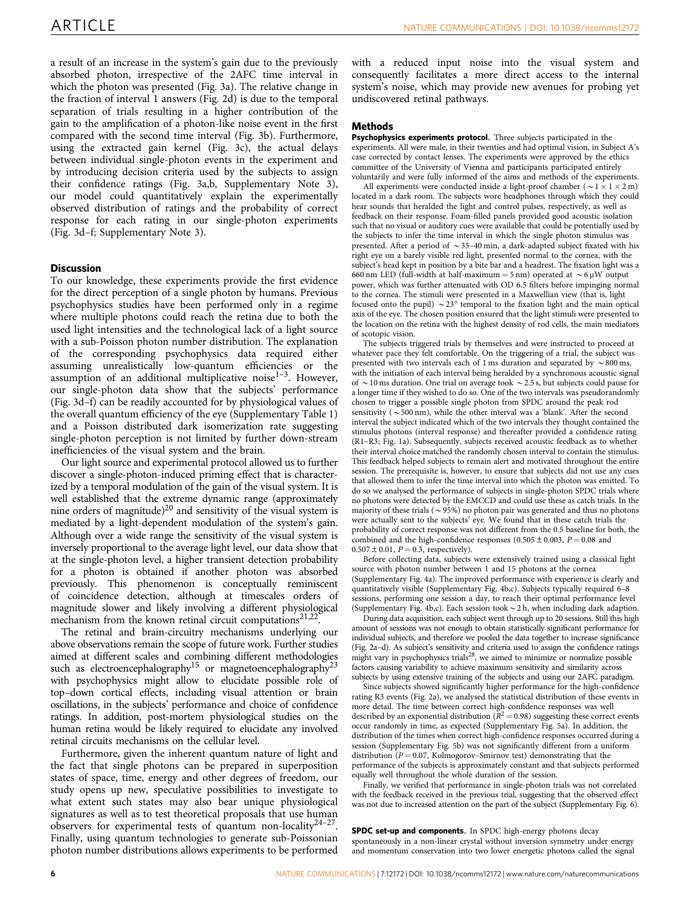a result of an increase in the system's gain due to the previously absorbed photon, irrespective of the 2AFC time interval in which the photon was presented [\(Fig. 3a\)](#page-4-0). The relative change in the fraction of interval 1 answers [\(Fig. 2d](#page-3-0)) is due to the temporal separation of trials resulting in a higher contribution of the gain to the amplification of a photon-like noise event in the first compared with the second time interval ([Fig. 3b](#page-4-0)). Furthermore, using the extracted gain kernel ([Fig. 3c](#page-4-0)), the actual delays between individual single-photon events in the experiment and by introducing decision criteria used by the subjects to assign their confidence ratings ([Fig. 3a,b](#page-4-0), Supplementary Note 3), our model could quantitatively explain the experimentally observed distribution of ratings and the probability of correct response for each rating in our single-photon experiments ([Fig. 3d–f;](#page-4-0) Supplementary Note 3).

## **Discussion**

To our knowledge, these experiments provide the first evidence for the direct perception of a single photon by humans. Previous psychophysics studies have been performed only in a regime where multiple photons could reach the retina due to both the used light intensities and the technological lack of a light source with a sub-Poisson photon number distribution. The explanation of the corresponding psychophysics data required either assuming unrealistically low-quantum efficiencies or the assumption of an additional multiplicative noise $1-3$ . However, our single-photon data show that the subjects' performance ([Fig. 3d–f](#page-4-0)) can be readily accounted for by physiological values of the overall quantum efficiency of the eye (Supplementary Table 1) and a Poisson distributed dark isomerization rate suggesting single-photon perception is not limited by further down-stream inefficiencies of the visual system and the brain.

Our light source and experimental protocol allowed us to further discover a single-photon-induced priming effect that is characterized by a temporal modulation of the gain of the visual system. It is well established that the extreme dynamic range (approximately nine orders of magnitude)<sup>20</sup> and sensitivity of the visual system is mediated by a light-dependent modulation of the system's gain. Although over a wide range the sensitivity of the visual system is inversely proportional to the average light level, our data show that at the single-photon level, a higher transient detection probability for a photon is obtained if another photon was absorbed previously. This phenomenon is conceptually reminiscent of coincidence detection, although at timescales orders of magnitude slower and likely involving a different physiological mechanism from the known retinal circuit computations $21,22$ .

The retinal and brain-circuitry mechanisms underlying our above observations remain the scope of future work. Further studies aimed at different scales and combining different methodologies such as electroencephalography<sup>[15](#page-7-0)</sup> or magnetoencephalography<sup>23</sup> with psychophysics might allow to elucidate possible role of top–down cortical effects, including visual attention or brain oscillations, in the subjects' performance and choice of confidence ratings. In addition, post-mortem physiological studies on the human retina would be likely required to elucidate any involved retinal circuits mechanisms on the cellular level.

Furthermore, given the inherent quantum nature of light and the fact that single photons can be prepared in superposition states of space, time, energy and other degrees of freedom, our study opens up new, speculative possibilities to investigate to what extent such states may also bear unique physiological signatures as well as to test theoretical proposals that use human observers for experimental tests of quantum non-locality[24–27.](#page-8-0) Finally, using quantum technologies to generate sub-Poissonian photon number distributions allows experiments to be performed with a reduced input noise into the visual system and consequently facilitates a more direct access to the internal system's noise, which may provide new avenues for probing yet undiscovered retinal pathways.

### **Methods**

Psychophysics experiments protocol. Three subjects participated in the experiments. All were male, in their twenties and had optimal vision, in Subject A's case corrected by contact lenses. The experiments were approved by the ethics committee of the University of Vienna and participants participated entirely voluntarily and were fully informed of the aims and methods of the experiments.

All experiments were conducted inside a light-proof chamber ( $\sim$  1  $\times$  1  $\times$  2 m) located in a dark room. The subjects wore headphones through which they could hear sounds that heralded the light and control pulses, respectively, as well as feedback on their response. Foam-filled panels provided good acoustic isolation such that no visual or auditory cues were available that could be potentially used by the subjects to infer the time interval in which the single photon stimulus was presented. After a period of  $\sim$  35–40 min, a dark-adapted subject fixated with his right eye on a barely visible red light, presented normal to the cornea, with the subject's head kept in position by a bite bar and a headrest. The fixation light was a 660 nm LED (full-width at half-maximum = 5 nm) operated at  $\sim$  6 µW output power, which was further attenuated with OD 6.5 filters before impinging normal to the cornea. The stimuli were presented in a Maxwellian view (that is, light focused onto the pupil)  $\sim$  23 $\degree$  temporal to the fixation light and the main optical axis of the eye. The chosen position ensured that the light stimuli were presented to the location on the retina with the highest density of rod cells, the main mediators of scotopic vision.

The subjects triggered trials by themselves and were instructed to proceed at whatever pace they felt comfortable. On the triggering of a trial, the subject was presented with two intervals each of 1 ms duration and separated by  $\sim$  800 ms, with the initiation of each interval being heralded by a synchronous acoustic signal of  $\sim$  10 ms duration. One trial on average took  $\sim$  2.5 s, but subjects could pause for a longer time if they wished to do so. One of the two intervals was pseudorandomly chosen to trigger a possible single photon from SPDC around the peak rod sensitivity ( $\sim$  500 nm), while the other interval was a 'blank'. After the second interval the subject indicated which of the two intervals they thought contained the stimulus photons (interval response) and thereafter provided a confidence rating (R1–R3; [Fig. 1a\)](#page-2-0). Subsequently, subjects received acoustic feedback as to whether their interval choice matched the randomly chosen interval to contain the stimulus. This feedback helped subjects to remain alert and motivated throughout the entire session. The prerequisite is, however, to ensure that subjects did not use any cues that allowed them to infer the time interval into which the photon was emitted. To do so we analysed the performance of subjects in single-photon SPDC trials where no photons were detected by the EMCCD and could use these as catch trials. In the majority of these trials ( $\sim$ 95%) no photon pair was generated and thus no photons were actually sent to the subjects' eye. We found that in these catch trials the probability of correct response was not different from the 0.5 baseline for both, the combined and the high-confidence responses (0.505  $\pm$  0.003, P = 0.08 and  $0.507 \pm 0.01$ ,  $P = 0.3$ , respectively).

Before collecting data, subjects were extensively trained using a classical light source with photon number between 1 and 15 photons at the cornea (Supplementary Fig. 4a). The improved performance with experience is clearly and quantitatively visible (Supplementary Fig. 4b,c). Subjects typically required 6–8 sessions, performing one session a day, to reach their optimal performance level (Supplementary Fig. 4b,c). Each session took  $\sim$  2 h, when including dark adaption.

During data acquisition, each subject went through up to 20 sessions. Still this high amount of sessions was not enough to obtain statistically significant performance for individual subjects, and therefore we pooled the data together to increase significance [\(Fig. 2a–d](#page-3-0)). As subject's sensitivity and criteria used to assign the confidence ratings might vary in psychophysics trial[s28,](#page-8-0) we aimed to minimize or normalize possible factors causing variability to achieve maximum sensitivity and similarity across subjects by using extensive training of the subjects and using our 2AFC paradigm.

Since subjects showed significantly higher performance for the high-confidence rating R3 events [\(Fig. 2a\)](#page-3-0), we analysed the statistical distribution of these events in more detail. The time between correct high-confidence responses was well described by an exponential distribution ( $\tilde{R}^2$  = 0.98) suggesting these correct events occur randomly in time, as expected (Supplementary Fig. 5a). In addition, the distribution of the times when correct high-confidence responses occurred during a session (Supplementary Fig. 5b) was not significantly different from a uniform distribution ( $P = 0.07$ , Kolmogorov–Smirnov test) demonstrating that the performance of the subjects is approximately constant and that subjects performed equally well throughout the whole duration of the session.

Finally, we verified that performance in single-photon trials was not correlated with the feedback received in the previous trial, suggesting that the observed effect was not due to increased attention on the part of the subject (Supplementary Fig. 6).

SPDC set-up and components. In SPDC high-energy photons decay spontaneously in a non-linear crystal without inversion symmetry under energy and momentum conservation into two lower energetic photons called the signal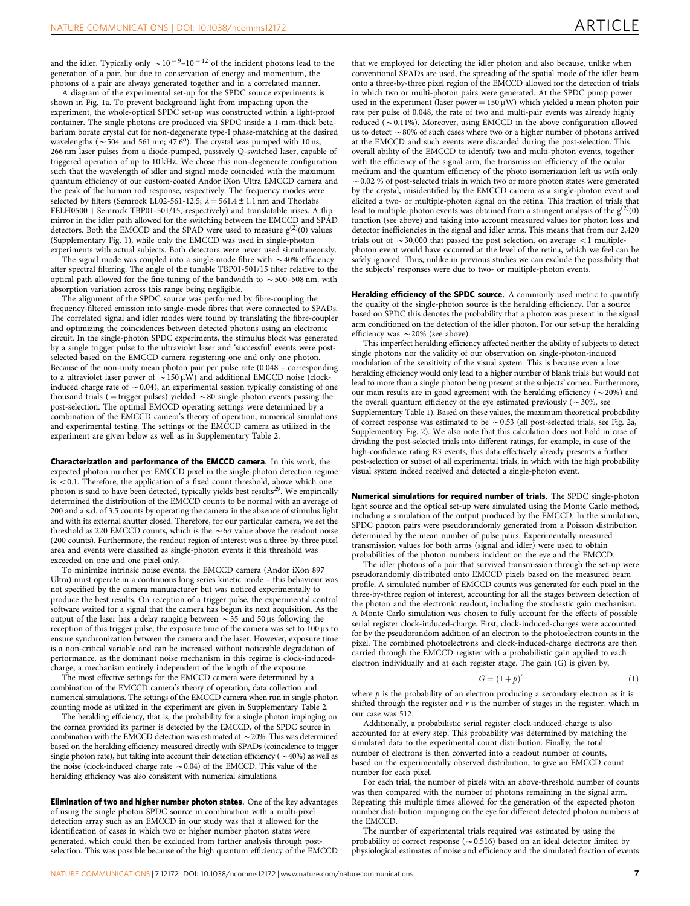and the idler. Typically only  $\sim 10^{-9}$ – $10^{-12}$  of the incident photons lead to the generation of a pair, but due to conservation of energy and momentum, the photons of a pair are always generated together and in a correlated manner.

A diagram of the experimental set-up for the SPDC source experiments is shown in [Fig. 1a](#page-2-0). To prevent background light from impacting upon the experiment, the whole-optical SPDC set-up was constructed within a light-proof container. The single photons are produced via SPDC inside a 1-mm-thick betabarium borate crystal cut for non-degenerate type-I phase-matching at the desired wavelengths ( $\sim$  504 and 561 nm; 47.6°). The crystal was pumped with 10 ns, 266 nm laser pulses from a diode-pumped, passively Q-switched laser, capable of triggered operation of up to 10 kHz. We chose this non-degenerate configuration such that the wavelength of idler and signal mode coincided with the maximum quantum efficiency of our custom-coated Andor iXon Ultra EMCCD camera and the peak of the human rod response, respectively. The frequency modes were selected by filters (Semrock LL02-561-12.5;  $\lambda = 561.4 \pm 1.1$  nm and Thorlabs FELH0500 + Semrock TBP01-501/15, respectively) and translatable irises. A flip mirror in the idler path allowed for the switching between the EMCCD and SPAD detectors. Both the EMCCD and the SPAD were used to measure  $g^{(2)}(0)$  values (Supplementary Fig. 1), while only the EMCCD was used in single-photon experiments with actual subjects. Both detectors were never used simultaneously.

The signal mode was coupled into a single-mode fibre with  $\sim$  40% efficiency after spectral filtering. The angle of the tunable TBP01-501/15 filter relative to the optical path allowed for the fine-tuning of the bandwidth to  $\sim$  500–508 nm, with absorption variation across this range being negligible.

The alignment of the SPDC source was performed by fibre-coupling the frequency-filtered emission into single-mode fibres that were connected to SPADs. The correlated signal and idler modes were found by translating the fibre-coupler and optimizing the coincidences between detected photons using an electronic circuit. In the single-photon SPDC experiments, the stimulus block was generated by a single trigger pulse to the ultraviolet laser and 'successful' events were postselected based on the EMCCD camera registering one and only one photon. Because of the non-unity mean photon pair per pulse rate (0.048 – corresponding to a ultraviolet laser power of  $\sim$  150  $\mu$ W) and additional EMCCD noise (clockinduced charge rate of  $\sim$  0.04), an experimental session typically consisting of one thousand trials ( = trigger pulses) yielded  $\sim 80$  single-photon events passing the post-selection. The optimal EMCCD operating settings were determined by a combination of the EMCCD camera's theory of operation, numerical simulations and experimental testing. The settings of the EMCCD camera as utilized in the experiment are given below as well as in Supplementary Table 2.

Characterization and performance of the EMCCD camera. In this work, the expected photon number per EMCCD pixel in the single-photon detection regime  $is < 0.1$ . Therefore, the application of a fixed count threshold, above which one photon is said to have been detected, typically yields best results<sup>[29](#page-8-0)</sup>. We empirically determined the distribution of the EMCCD counts to be normal with an average of 200 and a s.d. of 3.5 counts by operating the camera in the absence of stimulus light and with its external shutter closed. Therefore, for our particular camera, we set the threshold as 220 EMCCD counts, which is the  $\sim$  6 $\sigma$  value above the readout noise (200 counts). Furthermore, the readout region of interest was a three-by-three pixel area and events were classified as single-photon events if this threshold was exceeded on one and one pixel only.

To minimize intrinsic noise events, the EMCCD camera (Andor iXon 897 Ultra) must operate in a continuous long series kinetic mode – this behaviour was not specified by the camera manufacturer but was noticed experimentally to produce the best results. On reception of a trigger pulse, the experimental control software waited for a signal that the camera has begun its next acquisition. As the output of the laser has a delay ranging between  $\sim$  35 and 50 µs following the reception of this trigger pulse, the exposure time of the camera was set to  $100 \,\mu s$  to ensure synchronization between the camera and the laser. However, exposure time is a non-critical variable and can be increased without noticeable degradation of performance, as the dominant noise mechanism in this regime is clock-inducedcharge, a mechanism entirely independent of the length of the exposure.

The most effective settings for the EMCCD camera were determined by a combination of the EMCCD camera's theory of operation, data collection and numerical simulations. The settings of the EMCCD camera when run in single-photon counting mode as utilized in the experiment are given in Supplementary Table 2.

The heralding efficiency, that is, the probability for a single photon impinging on the cornea provided its partner is detected by the EMCCD, of the SPDC source in combination with the EMCCD detection was estimated at  $\sim$  20%. This was determined based on the heralding efficiency measured directly with SPADs (coincidence to trigger single photon rate), but taking into account their detection efficiency ( $\sim$  40%) as well as the noise (clock-induced charge rate  $\sim$  0.04) of the EMCCD. This value of the heralding efficiency was also consistent with numerical simulations.

Elimination of two and higher number photon states. One of the key advantages of using the single photon SPDC source in combination with a multi-pixel detection array such as an EMCCD in our study was that it allowed for the identification of cases in which two or higher number photon states were generated, which could then be excluded from further analysis through postselection. This was possible because of the high quantum efficiency of the EMCCD

that we employed for detecting the idler photon and also because, unlike when conventional SPADs are used, the spreading of the spatial mode of the idler beam onto a three-by-three pixel region of the EMCCD allowed for the detection of trials in which two or multi-photon pairs were generated. At the SPDC pump power used in the experiment (laser power =  $150 \mu W$ ) which yielded a mean photon pair rate per pulse of 0.048, the rate of two and multi-pair events was already highly reduced  $(-0.11\%)$ . Moreover, using EMCCD in the above configuration allowed us to detect  $\sim$  80% of such cases where two or a higher number of photons arrived at the EMCCD and such events were discarded during the post-selection. This overall ability of the EMCCD to identify two and multi-photon events, together with the efficiency of the signal arm, the transmission efficiency of the ocular medium and the quantum efficiency of the photo isomerization left us with only  $\sim$  0.02 % of post-selected trials in which two or more photon states were generated by the crystal, misidentified by the EMCCD camera as a single-photon event and elicited a two- or multiple-photon signal on the retina. This fraction of trials that lead to multiple-photon events was obtained from a stringent analysis of the  $g<sup>(</sup>$ function (see above) and taking into account measured values for photon loss and detector inefficiencies in the signal and idler arms. This means that from our 2,420 trials out of  $\sim$  30,000 that passed the post selection, on average  $<$  1 multiplephoton event would have occurred at the level of the retina, which we feel can be safely ignored. Thus, unlike in previous studies we can exclude the possibility that the subjects' responses were due to two- or multiple-photon events.

Heralding efficiency of the SPDC source. A commonly used metric to quantify the quality of the single-photon source is the heralding efficiency. For a source based on SPDC this denotes the probability that a photon was present in the signal arm conditioned on the detection of the idler photon. For our set-up the heralding efficiency was  $\sim$  20% (see above).

This imperfect heralding efficiency affected neither the ability of subjects to detect single photons nor the validity of our observation on single-photon-induced modulation of the sensitivity of the visual system. This is because even a low heralding efficiency would only lead to a higher number of blank trials but would not lead to more than a single photon being present at the subjects' cornea. Furthermore, our main results are in good agreement with the heralding efficiency ( $\sim$ 20%) and the overall quantum efficiency of the eye estimated previously ( $\sim$ 30%, see Supplementary Table 1). Based on these values, the maximum theoretical probability of correct response was estimated to be  $\sim$  0.53 (all post-selected trials, see [Fig. 2a,](#page-3-0) Supplementary Fig. 2). We also note that this calculation does not hold in case of dividing the post-selected trials into different ratings, for example, in case of the high-confidence rating R3 events, this data effectively already presents a further post-selection or subset of all experimental trials, in which with the high probability visual system indeed received and detected a single-photon event.

Numerical simulations for required number of trials. The SPDC single-photon light source and the optical set-up were simulated using the Monte Carlo method, including a simulation of the output produced by the EMCCD. In the simulation, SPDC photon pairs were pseudorandomly generated from a Poisson distribution determined by the mean number of pulse pairs. Experimentally measured transmission values for both arms (signal and idler) were used to obtain probabilities of the photon numbers incident on the eye and the EMCCD.

The idler photons of a pair that survived transmission through the set-up were pseudorandomly distributed onto EMCCD pixels based on the measured beam profile. A simulated number of EMCCD counts was generated for each pixel in the three-by-three region of interest, accounting for all the stages between detection of the photon and the electronic readout, including the stochastic gain mechanism. A Monte Carlo simulation was chosen to fully account for the effects of possible serial register clock-induced-charge. First, clock-induced-charges were accounted for by the pseudorandom addition of an electron to the photoelectron counts in the pixel. The combined photoelectrons and clock-induced-charge electrons are then carried through the EMCCD register with a probabilistic gain applied to each electron individually and at each register stage. The gain (G) is given by,

$$
= (1+p)^r \tag{1}
$$

where  $p$  is the probability of an electron producing a secondary electron as it is shifted through the register and  $r$  is the number of stages in the register, which in our case was 512.

 $G$ 

Additionally, a probabilistic serial register clock-induced-charge is also accounted for at every step. This probability was determined by matching the simulated data to the experimental count distribution. Finally, the total number of electrons is then converted into a readout number of counts, based on the experimentally observed distribution, to give an EMCCD count number for each pixel.

For each trial, the number of pixels with an above-threshold number of counts was then compared with the number of photons remaining in the signal arm. Repeating this multiple times allowed for the generation of the expected photon number distribution impinging on the eye for different detected photon numbers at the EMCCD.

The number of experimental trials required was estimated by using the probability of correct response ( $\sim$  0.516) based on an ideal detector limited by physiological estimates of noise and efficiency and the simulated fraction of events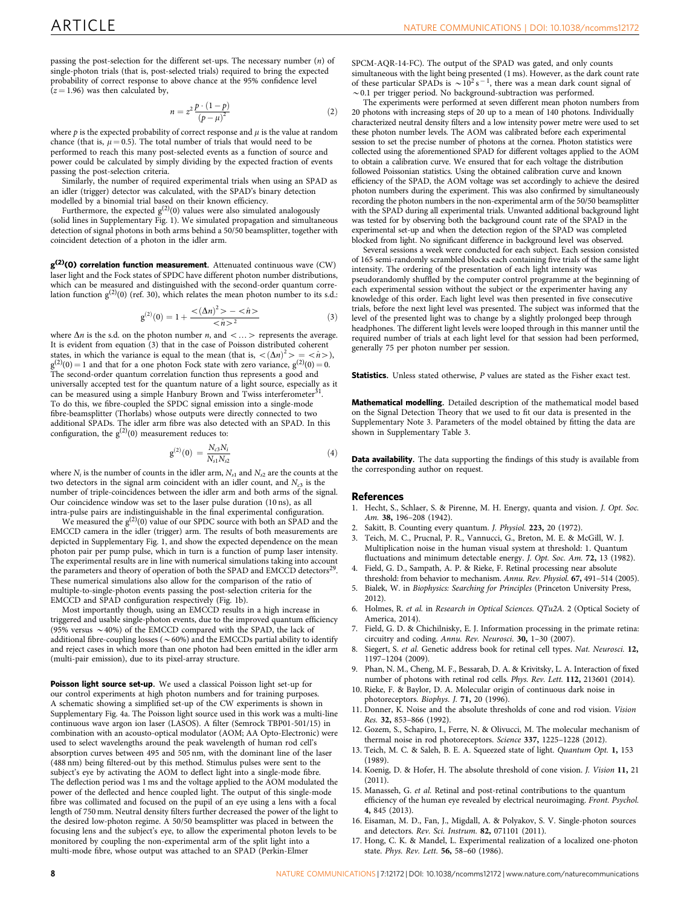<span id="page-7-0"></span>passing the post-selection for the different set-ups. The necessary number  $(n)$  of single-photon trials (that is, post-selected trials) required to bring the expected probability of correct response to above chance at the 95% confidence level  $(z = 1.96)$  was then calculated by,

$$
n = z^2 \frac{p \cdot (1-p)}{\left(p - \mu\right)^2} \tag{2}
$$

where  $p$  is the expected probability of correct response and  $\mu$  is the value at random chance (that is,  $\mu = 0.5$ ). The total number of trials that would need to be performed to reach this many post-selected events as a function of source and power could be calculated by simply dividing by the expected fraction of events passing the post-selection criteria.

Similarly, the number of required experimental trials when using an SPAD as an idler (trigger) detector was calculated, with the SPAD's binary detection

modelled by a binomial trial based on their known efficiency.<br>Furthermore, the expected  $g^{(2)}(0)$  values were also simulated analogously (solid lines in Supplementary Fig. 1). We simulated propagation and simultaneous detection of signal photons in both arms behind a 50/50 beamsplitter, together with coincident detection of a photon in the idler arm.

 $g^{(2)}(0)$  correlation function measurement. Attenuated continuous wave (CW) laser light and the Fock states of SPDC have different photon number distributions, which can be measured and distinguished with the second-order quantum corre-<br>lation function  $g^{(2)}(0)$  ([ref. 30\)](#page-8-0), which relates the mean photon number to its s.d.:

$$
g^{(2)}(0) = 1 + \frac{<( \Delta n)^2 > - <\hat{n} >}{<\hat{n}>^2}
$$
 (3)

where  $\Delta n$  is the s.d. on the photon number *n*, and  $\langle \ldots \rangle$  represents the average. It is evident from equation (3) that in the case of Poisson distributed coherent states, in which the variance is equal to the mean (that is,  $\langle (\Delta n)^2 \rangle = \langle \hat{n} \rangle$ ),  $g^{(2)}(0) = 1$  and that for a one photon Fock state with zero variance,  $g^{(2)}(0) = 0$ . The second-order quantum correlation function thus represents a good and universally accepted test for the quantum nature of a light source, especially as it can be measured using a simple Hanbury Brown and Twiss interferometer<sup>[31](#page-8-0)</sup>. To do this, we fibre-coupled the SPDC signal emission into a single-mode fibre-beamsplitter (Thorlabs) whose outputs were directly connected to two additional SPADs. The idler arm fibre was also detected with an SPAD. In this configuration, the  $g^{(2)}(0)$  measurement reduces to:

$$
g^{(2)}(0) = \frac{N_{c3}N_i}{N_{s1}N_{s2}} \tag{4}
$$

where  $N_i$  is the number of counts in the idler arm,  $N_{s1}$  and  $N_{s2}$  are the counts at the two detectors in the signal arm coincident with an idler count, and  $N_{c3}$  is the number of triple-coincidences between the idler arm and both arms of the signal. Our coincidence window was set to the laser pulse duration (10 ns), as all intra-pulse pairs are indistinguishable in the final experimental configuration.

We measured the  $g^{(2)}(0)$  value of our SPDC source with both an SPAD and the EMCCD camera in the idler (trigger) arm. The results of both measurements are depicted in Supplementary Fig. 1, and show the expected dependence on the mean photon pair per pump pulse, which in turn is a function of pump laser intensity. The experimental results are in line with numerical simulations taking into account the parameters and theory of operation of both the SPAD and EMCCD detectors<sup>[29](#page-8-0)</sup>. These numerical simulations also allow for the comparison of the ratio of multiple-to-single-photon events passing the post-selection criteria for the EMCCD and SPAD configuration respectively [\(Fig. 1b\)](#page-2-0).

Most importantly though, using an EMCCD results in a high increase in triggered and usable single-photon events, due to the improved quantum efficiency (95% versus  $\sim$  40%) of the EMCCD compared with the SPAD, the lack of additional fibre-coupling losses ( $\sim$  60%) and the EMCCDs partial ability to identify and reject cases in which more than one photon had been emitted in the idler arm (multi-pair emission), due to its pixel-array structure.

Poisson light source set-up. We used a classical Poisson light set-up for our control experiments at high photon numbers and for training purposes. A schematic showing a simplified set-up of the CW experiments is shown in Supplementary Fig. 4a. The Poisson light source used in this work was a multi-line continuous wave argon ion laser (LASOS). A filter (Semrock TBP01-501/15) in combination with an acousto-optical modulator (AOM; AA Opto-Electronic) were used to select wavelengths around the peak wavelength of human rod cell's absorption curves between 495 and 505 nm, with the dominant line of the laser (488 nm) being filtered-out by this method. Stimulus pulses were sent to the subject's eye by activating the AOM to deflect light into a single-mode fibre. The deflection period was 1 ms and the voltage applied to the AOM modulated the power of the deflected and hence coupled light. The output of this single-mode fibre was collimated and focused on the pupil of an eye using a lens with a focal length of 750 mm. Neutral density filters further decreased the power of the light to the desired low-photon regime. A 50/50 beamsplitter was placed in between the focusing lens and the subject's eye, to allow the experimental photon levels to be monitored by coupling the non-experimental arm of the split light into a multi-mode fibre, whose output was attached to an SPAD (Perkin-Elmer

SPCM-AQR-14-FC). The output of the SPAD was gated, and only counts simultaneous with the light being presented (1 ms). However, as the dark count rate of these particular SPADs is  $\sim 10^2$  s<sup>-1</sup>, there was a mean dark count signal of  $\sim$  0.1 per trigger period. No background-subtraction was performed.

The experiments were performed at seven different mean photon numbers from 20 photons with increasing steps of 20 up to a mean of 140 photons. Individually characterized neutral density filters and a low intensity power metre were used to set these photon number levels. The AOM was calibrated before each experimental session to set the precise number of photons at the cornea. Photon statistics were collected using the aforementioned SPAD for different voltages applied to the AOM to obtain a calibration curve. We ensured that for each voltage the distribution followed Poissonian statistics. Using the obtained calibration curve and known efficiency of the SPAD, the AOM voltage was set accordingly to achieve the desired photon numbers during the experiment. This was also confirmed by simultaneously recording the photon numbers in the non-experimental arm of the 50/50 beamsplitter with the SPAD during all experimental trials. Unwanted additional background light was tested for by observing both the background count rate of the SPAD in the experimental set-up and when the detection region of the SPAD was completed blocked from light. No significant difference in background level was observed.

Several sessions a week were conducted for each subject. Each session consisted of 165 semi-randomly scrambled blocks each containing five trials of the same light intensity. The ordering of the presentation of each light intensity was pseudorandomly shuffled by the computer control programme at the beginning of each experimental session without the subject or the experimenter having any knowledge of this order. Each light level was then presented in five consecutive trials, before the next light level was presented. The subject was informed that the level of the presented light was to change by a slightly prolonged beep through headphones. The different light levels were looped through in this manner until the required number of trials at each light level for that session had been performed, generally 75 per photon number per session.

Statistics. Unless stated otherwise, P values are stated as the Fisher exact test.

Mathematical modelling. Detailed description of the mathematical model based on the Signal Detection Theory that we used to fit our data is presented in the Supplementary Note 3. Parameters of the model obtained by fitting the data are shown in Supplementary Table 3.

Data availability. The data supporting the findings of this study is available from the corresponding author on request.

#### References

- 1. Hecht, S., Schlaer, S. & Pirenne, M. H. Energy, quanta and vision. J. Opt. Soc. Am. 38, 196–208 (1942).
- Sakitt, B. Counting every quantum. J. Physiol. 223, 20 (1972).
- 3. Teich, M. C., Prucnal, P. R., Vannucci, G., Breton, M. E. & McGill, W. J. Multiplication noise in the human visual system at threshold: 1. Quantum fluctuations and minimum detectable energy. J. Opt. Soc. Am. 72, 13 (1982).
- 4. Field, G. D., Sampath, A. P. & Rieke, F. Retinal processing near absolute threshold: from behavior to mechanism. Annu. Rev. Physiol. 67, 491–514 (2005).
- 5. Bialek, W. in Biophysics: Searching for Principles (Princeton University Press, 2012).
- 6. Holmes, R. et al. in Research in Optical Sciences. QTu2A. 2 (Optical Society of America, 2014).
- Field, G. D. & Chichilnisky, E. J. Information processing in the primate retina: circuitry and coding. Annu. Rev. Neurosci. 30, 1–30 (2007).
- Siegert, S. et al. Genetic address book for retinal cell types. Nat. Neurosci. 12, 1197–1204 (2009).
- 9. Phan, N. M., Cheng, M. F., Bessarab, D. A. & Krivitsky, L. A. Interaction of fixed number of photons with retinal rod cells. Phys. Rev. Lett. 112, 213601 (2014).
- 10. Rieke, F. & Baylor, D. A. Molecular origin of continuous dark noise in photoreceptors. Biophys. J. 71, 20 (1996).
- 11. Donner, K. Noise and the absolute thresholds of cone and rod vision. Vision Res. 32, 853–866 (1992).
- 12. Gozem, S., Schapiro, I., Ferre, N. & Olivucci, M. The molecular mechanism of thermal noise in rod photoreceptors. Science 337, 1225–1228 (2012).
- 13. Teich, M. C. & Saleh, B. E. A. Squeezed state of light. Quantum Opt. 1, 153 (1989).
- 14. Koenig, D. & Hofer, H. The absolute threshold of cone vision. J. Vision 11, 21 (2011).
- 15. Manasseh, G. et al. Retinal and post-retinal contributions to the quantum efficiency of the human eye revealed by electrical neuroimaging. Front. Psychol. 4, 845 (2013).
- 16. Eisaman, M. D., Fan, J., Migdall, A. & Polyakov, S. V. Single-photon sources and detectors. Rev. Sci. Instrum. 82, 071101 (2011).
- 17. Hong, C. K. & Mandel, L. Experimental realization of a localized one-photon state. Phys. Rev. Lett. 56, 58–60 (1986).